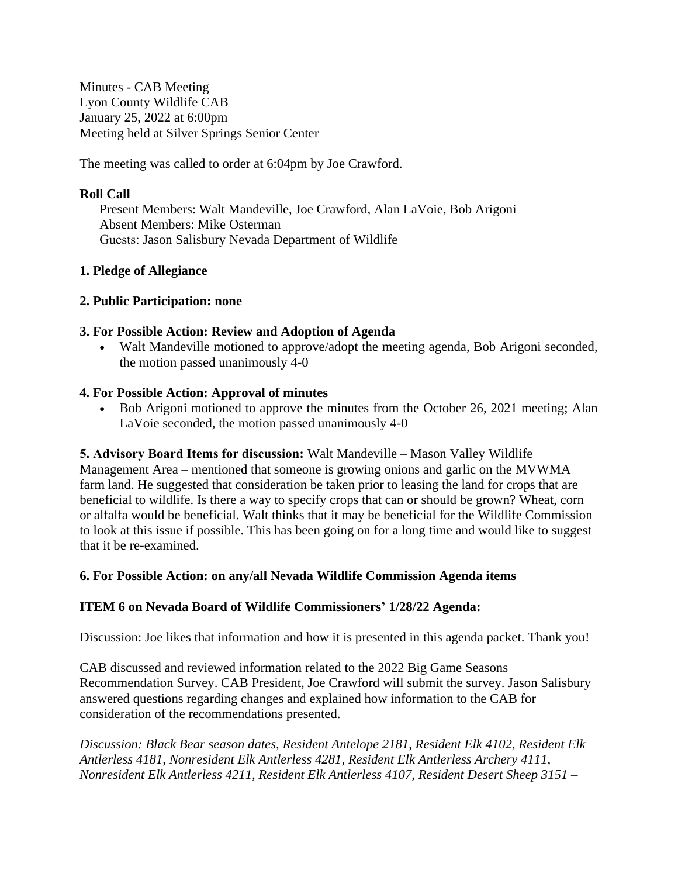Minutes - CAB Meeting Lyon County Wildlife CAB January 25, 2022 at 6:00pm Meeting held at Silver Springs Senior Center

The meeting was called to order at 6:04pm by Joe Crawford.

#### **Roll Call**

Present Members: Walt Mandeville, Joe Crawford, Alan LaVoie, Bob Arigoni Absent Members: Mike Osterman Guests: Jason Salisbury Nevada Department of Wildlife

## **1. Pledge of Allegiance**

## **2. Public Participation: none**

## **3. For Possible Action: Review and Adoption of Agenda**

 Walt Mandeville motioned to approve/adopt the meeting agenda, Bob Arigoni seconded, the motion passed unanimously 4-0

## **4. For Possible Action: Approval of minutes**

Bob Arigoni motioned to approve the minutes from the October 26, 2021 meeting; Alan LaVoie seconded, the motion passed unanimously 4-0

**5. Advisory Board Items for discussion:** Walt Mandeville – Mason Valley Wildlife Management Area – mentioned that someone is growing onions and garlic on the MVWMA farm land. He suggested that consideration be taken prior to leasing the land for crops that are beneficial to wildlife. Is there a way to specify crops that can or should be grown? Wheat, corn or alfalfa would be beneficial. Walt thinks that it may be beneficial for the Wildlife Commission to look at this issue if possible. This has been going on for a long time and would like to suggest

that it be re-examined.

#### **6. For Possible Action: on any/all Nevada Wildlife Commission Agenda items**

# **ITEM 6 on Nevada Board of Wildlife Commissioners' 1/28/22 Agenda:**

Discussion: Joe likes that information and how it is presented in this agenda packet. Thank you!

CAB discussed and reviewed information related to the 2022 Big Game Seasons Recommendation Survey. CAB President, Joe Crawford will submit the survey. Jason Salisbury answered questions regarding changes and explained how information to the CAB for consideration of the recommendations presented.

*Discussion: Black Bear season dates, Resident Antelope 2181, Resident Elk 4102, Resident Elk Antlerless 4181, Nonresident Elk Antlerless 4281, Resident Elk Antlerless Archery 4111, Nonresident Elk Antlerless 4211, Resident Elk Antlerless 4107, Resident Desert Sheep 3151 –*